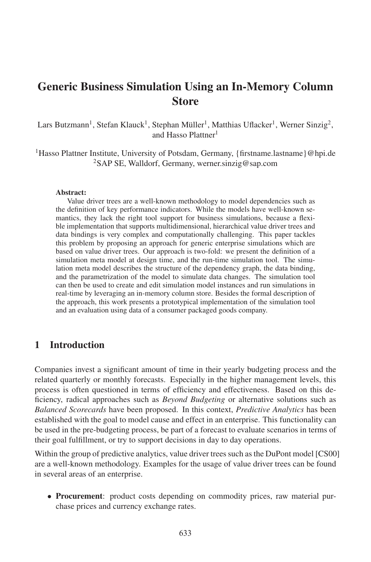# Generic Business Simulation Using an In-Memory Column Store

 $\rm {Lars\, Butzmann}^1, \rm {Stefan\, Klausk}^1, \rm {Stephan\, Müller}^1, \rm {Mathias\, Uflacker}^1, \rm {Werner\, Sinzig}^2,$ and Hasso Plattner<sup>1</sup>

<sup>1</sup>Hasso Plattner Institute, University of Potsdam, Germany, {firstname.lastname}@hpi.de <sup>2</sup>SAP SE, Walldorf, Germany, werner.sinzig@sap.com

#### Abstract:

Value driver trees are a well-known methodology to model dependencies such as the definition of key performance indicators. While the models have well-known semantics, they lack the right tool support for business simulations, because a flexible implementation that supports multidimensional, hierarchical value driver trees and data bindings is very complex and computationally challenging. This paper tackles this problem by proposing an approach for generic enterprise simulations which are based on value driver trees. Our approach is two-fold: we present the definition of a simulation meta model at design time, and the run-time simulation tool. The simulation meta model describes the structure of the dependency graph, the data binding, and the parametrization of the model to simulate data changes. The simulation tool can then be used to create and edit simulation model instances and run simulations in real-time by leveraging an in-memory column store. Besides the formal description of the approach, this work presents a prototypical implementation of the simulation tool and an evaluation using data of a consumer packaged goods company.

## 1 Introduction

Companies invest a significant amount of time in their yearly budgeting process and the related quarterly or monthly forecasts. Especially in the higher management levels, this process is often questioned in terms of efficiency and effectiveness. Based on this deficiency, radical approaches such as *Beyond Budgeting* or alternative solutions such as *Balanced Scorecards* have been proposed. In this context, *Predictive Analytics* has been established with the goal to model cause and effect in an enterprise. This functionality can be used in the pre-budgeting process, be part of a forecast to evaluate scenarios in terms of their goal fulfillment, or try to support decisions in day to day operations.

Within the group of predictive analytics, value driver trees such as the DuPont model [CS00] are a well-known methodology. Examples for the usage of value driver trees can be found in several areas of an enterprise.

• Procurement: product costs depending on commodity prices, raw material purchase prices and currency exchange rates.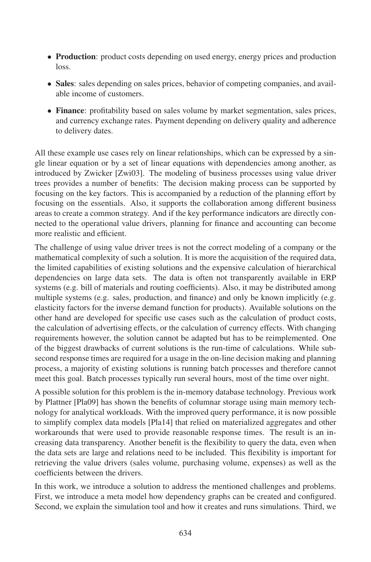- Production: product costs depending on used energy, energy prices and production loss.
- Sales: sales depending on sales prices, behavior of competing companies, and available income of customers.
- Finance: profitability based on sales volume by market segmentation, sales prices, and currency exchange rates. Payment depending on delivery quality and adherence to delivery dates.

All these example use cases rely on linear relationships, which can be expressed by a single linear equation or by a set of linear equations with dependencies among another, as introduced by Zwicker [Zwi03]. The modeling of business processes using value driver trees provides a number of benefits: The decision making process can be supported by focusing on the key factors. This is accompanied by a reduction of the planning effort by focusing on the essentials. Also, it supports the collaboration among different business areas to create a common strategy. And if the key performance indicators are directly connected to the operational value drivers, planning for finance and accounting can become more realistic and efficient.

The challenge of using value driver trees is not the correct modeling of a company or the mathematical complexity of such a solution. It is more the acquisition of the required data, the limited capabilities of existing solutions and the expensive calculation of hierarchical dependencies on large data sets. The data is often not transparently available in ERP systems (e.g. bill of materials and routing coefficients). Also, it may be distributed among multiple systems (e.g. sales, production, and finance) and only be known implicitly (e.g. elasticity factors for the inverse demand function for products). Available solutions on the other hand are developed for specific use cases such as the calculation of product costs, the calculation of advertising effects, or the calculation of currency effects. With changing requirements however, the solution cannot be adapted but has to be reimplemented. One of the biggest drawbacks of current solutions is the run-time of calculations. While subsecond response times are required for a usage in the on-line decision making and planning process, a majority of existing solutions is running batch processes and therefore cannot meet this goal. Batch processes typically run several hours, most of the time over night.

A possible solution for this problem is the in-memory database technology. Previous work by Plattner [Pla09] has shown the benefits of columnar storage using main memory technology for analytical workloads. With the improved query performance, it is now possible to simplify complex data models [Pla14] that relied on materialized aggregates and other workarounds that were used to provide reasonable response times. The result is an increasing data transparency. Another benefit is the flexibility to query the data, even when the data sets are large and relations need to be included. This flexibility is important for retrieving the value drivers (sales volume, purchasing volume, expenses) as well as the coefficients between the drivers.

In this work, we introduce a solution to address the mentioned challenges and problems. First, we introduce a meta model how dependency graphs can be created and configured. Second, we explain the simulation tool and how it creates and runs simulations. Third, we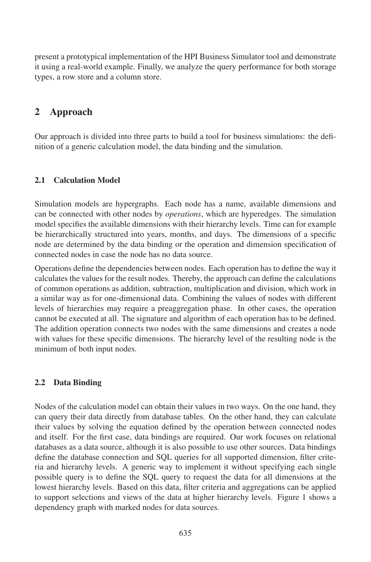present a prototypical implementation of the HPI Business Simulator tool and demonstrate it using a real-world example. Finally, we analyze the query performance for both storage types, a row store and a column store.

# 2 Approach

Our approach is divided into three parts to build a tool for business simulations: the definition of a generic calculation model, the data binding and the simulation.

### 2.1 Calculation Model

Simulation models are hypergraphs. Each node has a name, available dimensions and can be connected with other nodes by *operations*, which are hyperedges. The simulation model specifies the available dimensions with their hierarchy levels. Time can for example be hierarchically structured into years, months, and days. The dimensions of a specific node are determined by the data binding or the operation and dimension specification of connected nodes in case the node has no data source.

Operations define the dependencies between nodes. Each operation has to define the way it calculates the values for the result nodes. Thereby, the approach can define the calculations of common operations as addition, subtraction, multiplication and division, which work in a similar way as for one-dimensional data. Combining the values of nodes with different levels of hierarchies may require a preaggregation phase. In other cases, the operation cannot be executed at all. The signature and algorithm of each operation has to be defined. The addition operation connects two nodes with the same dimensions and creates a node with values for these specific dimensions. The hierarchy level of the resulting node is the minimum of both input nodes.

### 2.2 Data Binding

Nodes of the calculation model can obtain their values in two ways. On the one hand, they can query their data directly from database tables. On the other hand, they can calculate their values by solving the equation defined by the operation between connected nodes and itself. For the first case, data bindings are required. Our work focuses on relational databases as a data source, although it is also possible to use other sources. Data bindings define the database connection and SQL queries for all supported dimension, filter criteria and hierarchy levels. A generic way to implement it without specifying each single possible query is to define the SQL query to request the data for all dimensions at the lowest hierarchy levels. Based on this data, filter criteria and aggregations can be applied to support selections and views of the data at higher hierarchy levels. Figure 1 shows a dependency graph with marked nodes for data sources.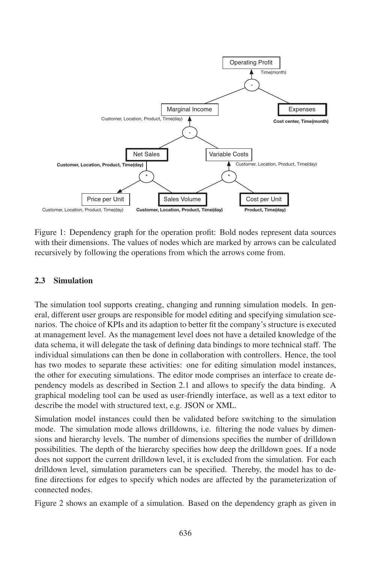

Figure 1: Dependency graph for the operation profit: Bold nodes represent data sources with their dimensions. The values of nodes which are marked by arrows can be calculated recursively by following the operations from which the arrows come from.

#### 2.3 Simulation

The simulation tool supports creating, changing and running simulation models. In general, different user groups are responsible for model editing and specifying simulation scenarios. The choice of KPIs and its adaption to better fit the company's structure is executed at management level. As the management level does not have a detailed knowledge of the data schema, it will delegate the task of defining data bindings to more technical staff. The individual simulations can then be done in collaboration with controllers. Hence, the tool has two modes to separate these activities: one for editing simulation model instances, the other for executing simulations. The editor mode comprises an interface to create dependency models as described in Section 2.1 and allows to specify the data binding. A graphical modeling tool can be used as user-friendly interface, as well as a text editor to describe the model with structured text, e.g. JSON or XML.

Simulation model instances could then be validated before switching to the simulation mode. The simulation mode allows drilldowns, i.e. filtering the node values by dimensions and hierarchy levels. The number of dimensions specifies the number of drilldown possibilities. The depth of the hierarchy specifies how deep the drilldown goes. If a node does not support the current drilldown level, it is excluded from the simulation. For each drilldown level, simulation parameters can be specified. Thereby, the model has to define directions for edges to specify which nodes are affected by the parameterization of connected nodes.

Figure 2 shows an example of a simulation. Based on the dependency graph as given in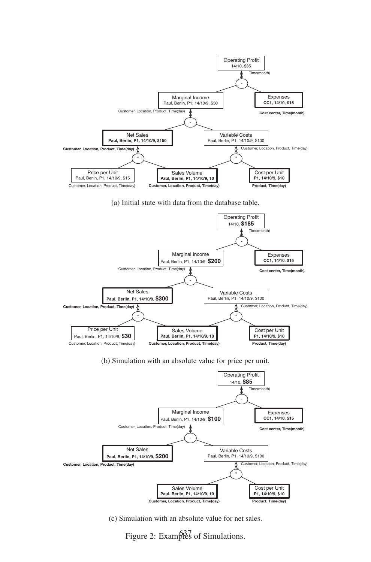

#### (a) Initial state with data from the database table.



(b) Simulation with an absolute value for price per unit.



(c) Simulation with an absolute value for net sales.

Figure 2: Examples of Simulations.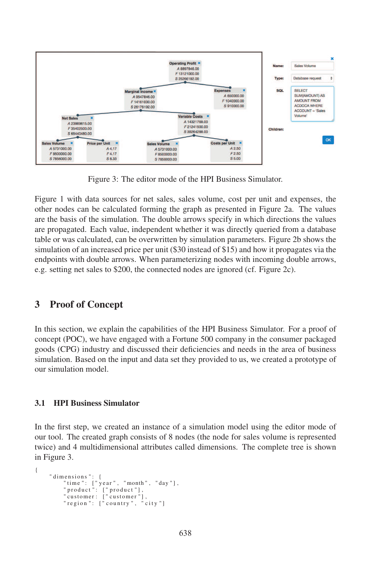

Figure 3: The editor mode of the HPI Business Simulator.

Figure 1 with data sources for net sales, sales volume, cost per unit and expenses, the other nodes can be calculated forming the graph as presented in Figure 2a. The values are the basis of the simulation. The double arrows specify in which directions the values are propagated. Each value, independent whether it was directly queried from a database table or was calculated, can be overwritten by simulation parameters. Figure 2b shows the simulation of an increased price per unit (\$30 instead of \$15) and how it propagates via the endpoints with double arrows. When parameterizing nodes with incoming double arrows, e.g. setting net sales to \$200, the connected nodes are ignored (cf. Figure 2c).

## 3 Proof of Concept

In this section, we explain the capabilities of the HPI Business Simulator. For a proof of concept (POC), we have engaged with a Fortune 500 company in the consumer packaged goods (CPG) industry and discussed their deficiencies and needs in the area of business simulation. Based on the input and data set they provided to us, we created a prototype of our simulation model.

#### 3.1 HPI Business Simulator

In the first step, we created an instance of a simulation model using the editor mode of our tool. The created graph consists of 8 nodes (the node for sales volume is represented twice) and 4 multidimensional attributes called dimensions. The complete tree is shown in Figure 3.

```
{
      " dimensions ": {<br>"time ": ["year", "month", "day"],<br>"product": ["product"],
            " customer : " customer"],
             " region": \int" country", "city"]
```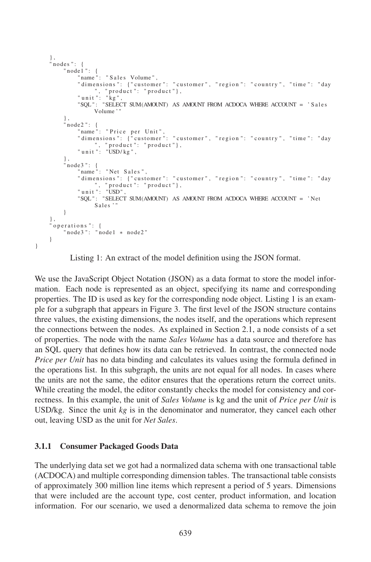```
} ,
nodes": {
     \frac{1}{\sqrt{2}} node 1": {
          " name ": " Sales Volume",
         " dimensions ": {" customer ": " customer ", " region ": " country ", " time ": " day
          ", "product": "product"},<br>"unit": "kg",
          "SQL" : "SELECT SUM(AMOUNT) AS AMOUNT FROM ACDOCA WHERE ACCOUNT = ' Sales
               Volume ' "
    } ,
     ' node2": {
          "name": "Price per Unit",<br>"dimensions": {"customer": "customer", "region": "country", "time": "day
          ", "product": "product"},<br>"unit": "USD/kg",
     } ,
     ' node 3 ": {
         \overline{\ }" name": "Net Sales",
         " dimensions ": {"customer": "customer", "region": "country", "time": "day
          ", "product": "product"},<br>"unit": "USD",
          "SQL" : "SELECT SUM(AMOUNT) AS AMOUNT FROM ACDOCA WHERE ACCOUNT = ' Net
               Sales
    }
} ,
'operations": {
    " node3": " node1 * node2"
}
```
Listing 1: An extract of the model definition using the JSON format.

We use the JavaScript Object Notation (JSON) as a data format to store the model information. Each node is represented as an object, specifying its name and corresponding properties. The ID is used as key for the corresponding node object. Listing 1 is an example for a subgraph that appears in Figure 3. The first level of the JSON structure contains three values, the existing dimensions, the nodes itself, and the operations which represent the connections between the nodes. As explained in Section 2.1, a node consists of a set of properties. The node with the name *Sales Volume* has a data source and therefore has an SQL query that defines how its data can be retrieved. In contrast, the connected node *Price per Unit* has no data binding and calculates its values using the formula defined in the operations list. In this subgraph, the units are not equal for all nodes. In cases where the units are not the same, the editor ensures that the operations return the correct units. While creating the model, the editor constantly checks the model for consistency and correctness. In this example, the unit of *Sales Volume* is kg and the unit of *Price per Unit* is USD/kg. Since the unit *kg* is in the denominator and numerator, they cancel each other out, leaving USD as the unit for *Net Sales*.

#### 3.1.1 Consumer Packaged Goods Data

}

The underlying data set we got had a normalized data schema with one transactional table (ACDOCA) and multiple corresponding dimension tables. The transactional table consists of approximately 300 million line items which represent a period of 5 years. Dimensions that were included are the account type, cost center, product information, and location information. For our scenario, we used a denormalized data schema to remove the join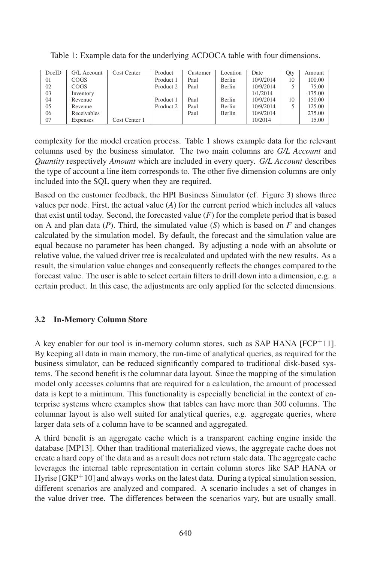| DocID | G/L Account | Cost Center   | Product   | Customer | Location      | Date      | Qty | Amount    |
|-------|-------------|---------------|-----------|----------|---------------|-----------|-----|-----------|
| 01    | <b>COGS</b> |               | Product 1 | Paul     | Berlin        | 10/9/2014 | 10  | 100.00    |
| 02    | <b>COGS</b> |               | Product 2 | Paul     | Berlin        | 10/9/2014 |     | 75.00     |
| 03    | Inventory   |               |           |          |               | 1/1/2014  |     | $-175.00$ |
| 04    | Revenue     |               | Product 1 | Paul     | <b>Berlin</b> | 10/9/2014 | 10  | 150.00    |
| 05    | Revenue     |               | Product 2 | Paul     | Berlin        | 10/9/2014 |     | 125.00    |
| 06    | Receivables |               |           | Paul     | <b>Berlin</b> | 10/9/2014 |     | 275.00    |
| 07    | Expenses    | Cost Center 1 |           |          |               | 10/2014   |     | 15.00     |

Table 1: Example data for the underlying ACDOCA table with four dimensions.

complexity for the model creation process. Table 1 shows example data for the relevant columns used by the business simulator. The two main columns are *G/L Account* and *Quantity* respectively *Amount* which are included in every query. *G/L Account* describes the type of account a line item corresponds to. The other five dimension columns are only included into the SQL query when they are required.

Based on the customer feedback, the HPI Business Simulator (cf. Figure 3) shows three values per node. First, the actual value (*A*) for the current period which includes all values that exist until today. Second, the forecasted value  $(F)$  for the complete period that is based on A and plan data  $(P)$ . Third, the simulated value  $(S)$  which is based on  $F$  and changes calculated by the simulation model. By default, the forecast and the simulation value are equal because no parameter has been changed. By adjusting a node with an absolute or relative value, the valued driver tree is recalculated and updated with the new results. As a result, the simulation value changes and consequently reflects the changes compared to the forecast value. The user is able to select certain filters to drill down into a dimension, e.g. a certain product. In this case, the adjustments are only applied for the selected dimensions.

#### 3.2 In-Memory Column Store

A key enabler for our tool is in-memory column stores, such as SAP HANA  $[FCP^+11]$ . By keeping all data in main memory, the run-time of analytical queries, as required for the business simulator, can be reduced significantly compared to traditional disk-based systems. The second benefit is the columnar data layout. Since the mapping of the simulation model only accesses columns that are required for a calculation, the amount of processed data is kept to a minimum. This functionality is especially beneficial in the context of enterprise systems where examples show that tables can have more than 300 columns. The columnar layout is also well suited for analytical queries, e.g. aggregate queries, where larger data sets of a column have to be scanned and aggregated.

A third benefit is an aggregate cache which is a transparent caching engine inside the database [MP13]. Other than traditional materialized views, the aggregate cache does not create a hard copy of the data and as a result does not return stale data. The aggregate cache leverages the internal table representation in certain column stores like SAP HANA or Hyrise  $[GKP^+10]$  and always works on the latest data. During a typical simulation session, different scenarios are analyzed and compared. A scenario includes a set of changes in the value driver tree. The differences between the scenarios vary, but are usually small.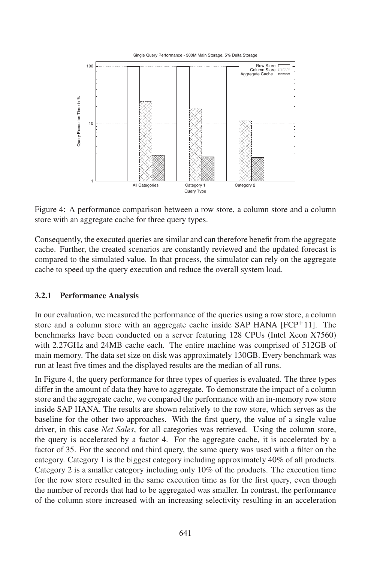

Figure 4: A performance comparison between a row store, a column store and a column store with an aggregate cache for three query types.

Consequently, the executed queries are similar and can therefore benefit from the aggregate cache. Further, the created scenarios are constantly reviewed and the updated forecast is compared to the simulated value. In that process, the simulator can rely on the aggregate cache to speed up the query execution and reduce the overall system load.

### 3.2.1 Performance Analysis

In our evaluation, we measured the performance of the queries using a row store, a column store and a column store with an aggregate cache inside SAP HANA  $[FCP<sup>+</sup>11]$ . The benchmarks have been conducted on a server featuring 128 CPUs (Intel Xeon X7560) with 2.27GHz and 24MB cache each. The entire machine was comprised of 512GB of main memory. The data set size on disk was approximately 130GB. Every benchmark was run at least five times and the displayed results are the median of all runs.

In Figure 4, the query performance for three types of queries is evaluated. The three types differ in the amount of data they have to aggregate. To demonstrate the impact of a column store and the aggregate cache, we compared the performance with an in-memory row store inside SAP HANA. The results are shown relatively to the row store, which serves as the baseline for the other two approaches. With the first query, the value of a single value driver, in this case *Net Sales*, for all categories was retrieved. Using the column store, the query is accelerated by a factor 4. For the aggregate cache, it is accelerated by a factor of 35. For the second and third query, the same query was used with a filter on the category. Category 1 is the biggest category including approximately 40% of all products. Category 2 is a smaller category including only 10% of the products. The execution time for the row store resulted in the same execution time as for the first query, even though the number of records that had to be aggregated was smaller. In contrast, the performance of the column store increased with an increasing selectivity resulting in an acceleration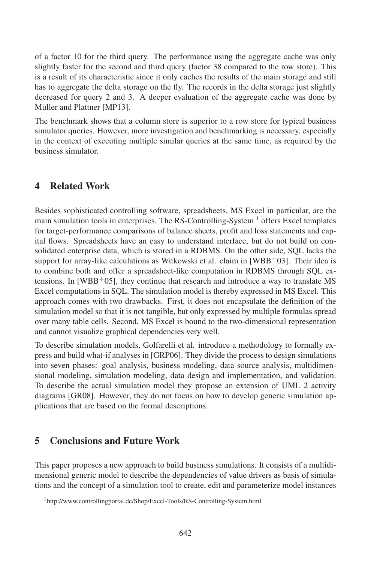of a factor 10 for the third query. The performance using the aggregate cache was only slightly faster for the second and third query (factor 38 compared to the row store). This is a result of its characteristic since it only caches the results of the main storage and still has to aggregate the delta storage on the fly. The records in the delta storage just slightly decreased for query 2 and 3. A deeper evaluation of the aggregate cache was done by Müller and Plattner [MP13].

The benchmark shows that a column store is superior to a row store for typical business simulator queries. However, more investigation and benchmarking is necessary, especially in the context of executing multiple similar queries at the same time, as required by the business simulator.

## 4 Related Work

Besides sophisticated controlling software, spreadsheets, MS Excel in particular, are the main simulation tools in enterprises. The RS-Controlling-System  $<sup>1</sup>$  offers Excel templates</sup> for target-performance comparisons of balance sheets, profit and loss statements and capital flows. Spreadsheets have an easy to understand interface, but do not build on consolidated enterprise data, which is stored in a RDBMS. On the other side, SQL lacks the support for array-like calculations as Witkowski et al. claim in  $[WBB<sup>+</sup>03]$ . Their idea is to combine both and offer a spreadsheet-like computation in RDBMS through SQL extensions. In  $[WBB<sup>+</sup>05]$ , they continue that research and introduce a way to translate MS Excel computations in SQL. The simulation model is thereby expressed in MS Excel. This approach comes with two drawbacks. First, it does not encapsulate the definition of the simulation model so that it is not tangible, but only expressed by multiple formulas spread over many table cells. Second, MS Excel is bound to the two-dimensional representation and cannot visualize graphical dependencies very well.

To describe simulation models, Golfarelli et al. introduce a methodology to formally express and build what-if analyses in [GRP06]. They divide the process to design simulations into seven phases: goal analysis, business modeling, data source analysis, multidimensional modeling, simulation modeling, data design and implementation, and validation. To describe the actual simulation model they propose an extension of UML 2 activity diagrams [GR08]. However, they do not focus on how to develop generic simulation applications that are based on the formal descriptions.

## 5 Conclusions and Future Work

This paper proposes a new approach to build business simulations. It consists of a multidimensional generic model to describe the dependencies of value drivers as basis of simulations and the concept of a simulation tool to create, edit and parameterize model instances

<sup>1</sup>http://www.controllingportal.de/Shop/Excel-Tools/RS-Controlling-System.html